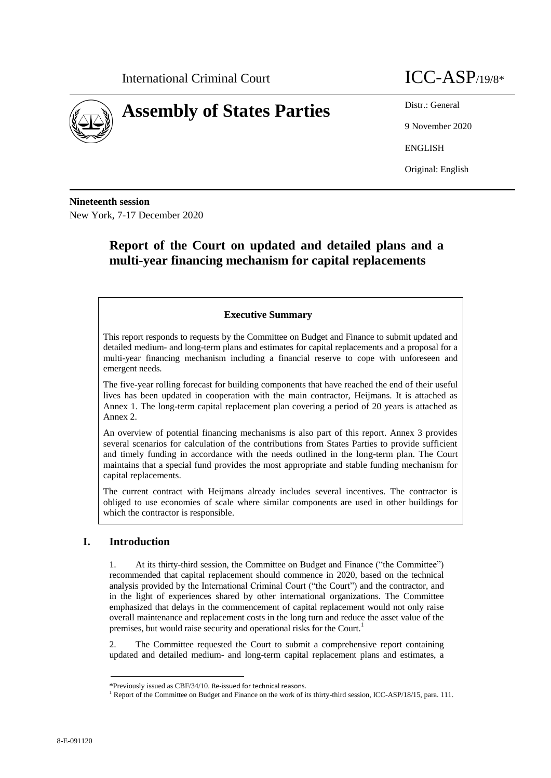



9 November 2020

ENGLISH

Original: English

**Nineteenth session** New York, 7-17 December 2020

# **Report of the Court on updated and detailed plans and a multi-year financing mechanism for capital replacements**

## **Executive Summary**

This report responds to requests by the Committee on Budget and Finance to submit updated and detailed medium- and long-term plans and estimates for capital replacements and a proposal for a multi-year financing mechanism including a financial reserve to cope with unforeseen and emergent needs.

The five-year rolling forecast for building components that have reached the end of their useful lives has been updated in cooperation with the main contractor, Heijmans. It is attached as Annex 1. The long-term capital replacement plan covering a period of 20 years is attached as Annex 2.

An overview of potential financing mechanisms is also part of this report. Annex 3 provides several scenarios for calculation of the contributions from States Parties to provide sufficient and timely funding in accordance with the needs outlined in the long-term plan. The Court maintains that a special fund provides the most appropriate and stable funding mechanism for capital replacements.

The current contract with Heijmans already includes several incentives. The contractor is obliged to use economies of scale where similar components are used in other buildings for which the contractor is responsible.

## **I. Introduction**

1. At its thirty-third session, the Committee on Budget and Finance ("the Committee") recommended that capital replacement should commence in 2020, based on the technical analysis provided by the International Criminal Court ("the Court") and the contractor, and in the light of experiences shared by other international organizations. The Committee emphasized that delays in the commencement of capital replacement would not only raise overall maintenance and replacement costs in the long turn and reduce the asset value of the premises, but would raise security and operational risks for the Court.<sup>1</sup>

2. The Committee requested the Court to submit a comprehensive report containing updated and detailed medium- and long-term capital replacement plans and estimates, a

<sup>\*</sup>Previously issued as CBF/34/10. Re-issued for technical reasons.

<sup>&</sup>lt;sup>1</sup> Report of the Committee on Budget and Finance on the work of its thirty-third session, ICC-ASP/18/15, para. 111.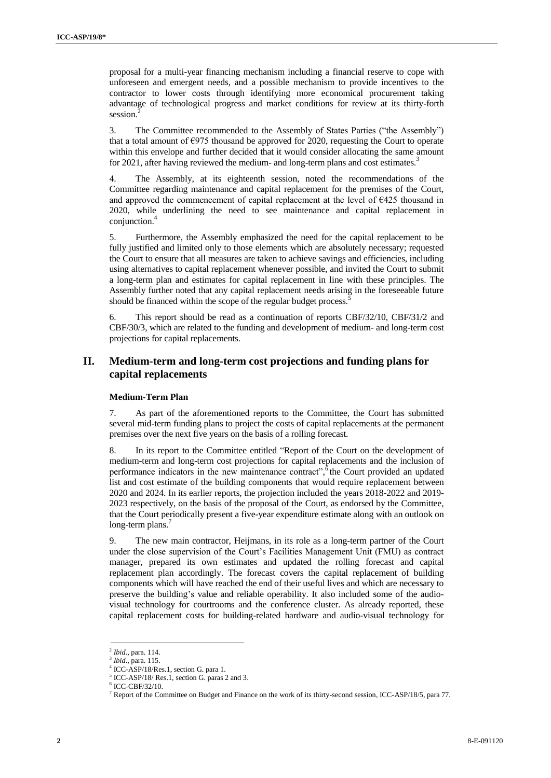proposal for a multi-year financing mechanism including a financial reserve to cope with unforeseen and emergent needs, and a possible mechanism to provide incentives to the contractor to lower costs through identifying more economical procurement taking advantage of technological progress and market conditions for review at its thirty-forth session.<sup>2</sup>

3. The Committee recommended to the Assembly of States Parties ("the Assembly") that a total amount of  $\epsilon$ 975 thousand be approved for 2020, requesting the Court to operate within this envelope and further decided that it would consider allocating the same amount for 2021, after having reviewed the medium- and long-term plans and cost estimates.<sup>3</sup>

4. The Assembly, at its eighteenth session, noted the recommendations of the Committee regarding maintenance and capital replacement for the premises of the Court, and approved the commencement of capital replacement at the level of  $E425$  thousand in 2020, while underlining the need to see maintenance and capital replacement in conjunction.<sup>4</sup>

5. Furthermore, the Assembly emphasized the need for the capital replacement to be fully justified and limited only to those elements which are absolutely necessary; requested the Court to ensure that all measures are taken to achieve savings and efficiencies, including using alternatives to capital replacement whenever possible, and invited the Court to submit a long-term plan and estimates for capital replacement in line with these principles. The Assembly further noted that any capital replacement needs arising in the foreseeable future should be financed within the scope of the regular budget process.

6. This report should be read as a continuation of reports CBF/32/10, CBF/31/2 and CBF/30/3, which are related to the funding and development of medium- and long-term cost projections for capital replacements.

## **II. Medium-term and long-term cost projections and funding plans for capital replacements**

#### **Medium-Term Plan**

7. As part of the aforementioned reports to the Committee, the Court has submitted several mid-term funding plans to project the costs of capital replacements at the permanent premises over the next five years on the basis of a rolling forecast.

8. In its report to the Committee entitled "Report of the Court on the development of medium-term and long-term cost projections for capital replacements and the inclusion of performance indicators in the new maintenance contract", <sup>6</sup> the Court provided an updated list and cost estimate of the building components that would require replacement between 2020 and 2024. In its earlier reports, the projection included the years 2018-2022 and 2019- 2023 respectively, on the basis of the proposal of the Court, as endorsed by the Committee, that the Court periodically present a five-year expenditure estimate along with an outlook on long-term plans.<sup>7</sup>

9. The new main contractor, Heijmans, in its role as a long-term partner of the Court under the close supervision of the Court's Facilities Management Unit (FMU) as contract manager, prepared its own estimates and updated the rolling forecast and capital replacement plan accordingly. The forecast covers the capital replacement of building components which will have reached the end of their useful lives and which are necessary to preserve the building's value and reliable operability. It also included some of the audiovisual technology for courtrooms and the conference cluster. As already reported, these capital replacement costs for building-related hardware and audio-visual technology for

<sup>2</sup> *Ibid*., para. 114.

<sup>3</sup> *Ibid*., para. 115.

<sup>4</sup> ICC-ASP/18/Res.1, section G. para 1.

<sup>5</sup> ICC-ASP/18/ Res.1, section G. paras 2 and 3.

<sup>6</sup> ICC-CBF/32/10.

 $<sup>7</sup>$  Report of the Committee on Budget and Finance on the work of its thirty-second session, ICC-ASP/18/5, para 77.</sup>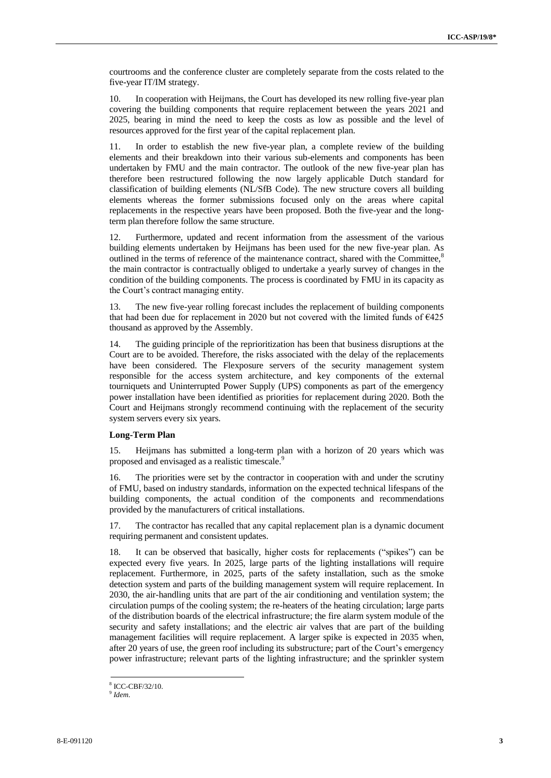courtrooms and the conference cluster are completely separate from the costs related to the five-year IT/IM strategy.

10. In cooperation with Heijmans, the Court has developed its new rolling five-year plan covering the building components that require replacement between the years 2021 and 2025, bearing in mind the need to keep the costs as low as possible and the level of resources approved for the first year of the capital replacement plan.

11. In order to establish the new five-year plan, a complete review of the building elements and their breakdown into their various sub-elements and components has been undertaken by FMU and the main contractor. The outlook of the new five-year plan has therefore been restructured following the now largely applicable Dutch standard for classification of building elements (NL/SfB Code). The new structure covers all building elements whereas the former submissions focused only on the areas where capital replacements in the respective years have been proposed. Both the five-year and the longterm plan therefore follow the same structure.

12. Furthermore, updated and recent information from the assessment of the various building elements undertaken by Heijmans has been used for the new five-year plan. As outlined in the terms of reference of the maintenance contract, shared with the Committee,<sup>8</sup> the main contractor is contractually obliged to undertake a yearly survey of changes in the condition of the building components. The process is coordinated by FMU in its capacity as the Court's contract managing entity.

13. The new five-year rolling forecast includes the replacement of building components that had been due for replacement in 2020 but not covered with the limited funds of €425 thousand as approved by the Assembly.

14. The guiding principle of the reprioritization has been that business disruptions at the Court are to be avoided. Therefore, the risks associated with the delay of the replacements have been considered. The Flexposure servers of the security management system responsible for the access system architecture, and key components of the external tourniquets and Uninterrupted Power Supply (UPS) components as part of the emergency power installation have been identified as priorities for replacement during 2020. Both the Court and Heijmans strongly recommend continuing with the replacement of the security system servers every six years.

#### **Long-Term Plan**

15. Heijmans has submitted a long-term plan with a horizon of 20 years which was proposed and envisaged as a realistic timescale.<sup>9</sup>

16. The priorities were set by the contractor in cooperation with and under the scrutiny of FMU, based on industry standards, information on the expected technical lifespans of the building components, the actual condition of the components and recommendations provided by the manufacturers of critical installations.

17. The contractor has recalled that any capital replacement plan is a dynamic document requiring permanent and consistent updates.

18. It can be observed that basically, higher costs for replacements ("spikes") can be expected every five years. In 2025, large parts of the lighting installations will require replacement. Furthermore, in 2025, parts of the safety installation, such as the smoke detection system and parts of the building management system will require replacement. In 2030, the air-handling units that are part of the air conditioning and ventilation system; the circulation pumps of the cooling system; the re-heaters of the heating circulation; large parts of the distribution boards of the electrical infrastructure; the fire alarm system module of the security and safety installations; and the electric air valves that are part of the building management facilities will require replacement. A larger spike is expected in 2035 when, after 20 years of use, the green roof including its substructure; part of the Court's emergency power infrastructure; relevant parts of the lighting infrastructure; and the sprinkler system

<sup>8</sup> ICC-CBF/32/10.

<sup>9</sup> *Idem*.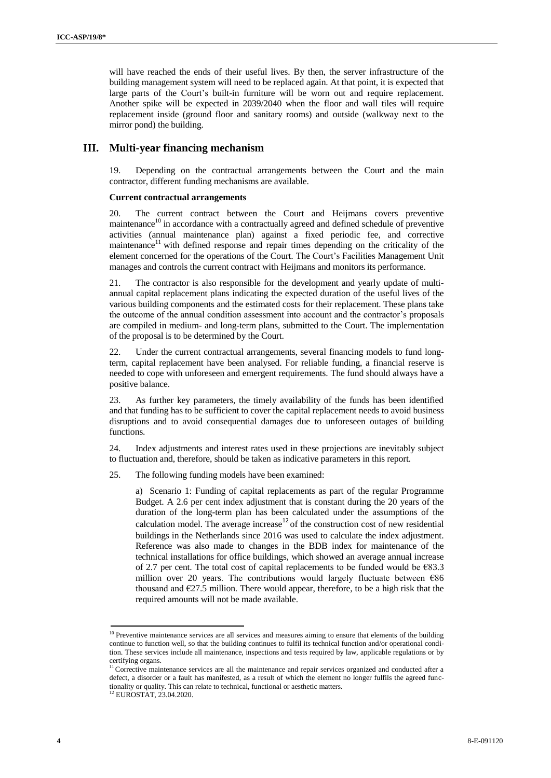will have reached the ends of their useful lives. By then, the server infrastructure of the building management system will need to be replaced again. At that point, it is expected that large parts of the Court's built-in furniture will be worn out and require replacement. Another spike will be expected in 2039/2040 when the floor and wall tiles will require replacement inside (ground floor and sanitary rooms) and outside (walkway next to the mirror pond) the building.

## **III. Multi-year financing mechanism**

19. Depending on the contractual arrangements between the Court and the main contractor, different funding mechanisms are available.

#### **Current contractual arrangements**

20. The current contract between the Court and Heijmans covers preventive maintenance $10$  in accordance with a contractually agreed and defined schedule of preventive activities (annual maintenance plan) against a fixed periodic fee, and corrective maintenance $1$ <sup>1</sup> with defined response and repair times depending on the criticality of the element concerned for the operations of the Court. The Court's Facilities Management Unit manages and controls the current contract with Heijmans and monitors its performance.

21. The contractor is also responsible for the development and yearly update of multiannual capital replacement plans indicating the expected duration of the useful lives of the various building components and the estimated costs for their replacement. These plans take the outcome of the annual condition assessment into account and the contractor's proposals are compiled in medium- and long-term plans, submitted to the Court. The implementation of the proposal is to be determined by the Court.

22. Under the current contractual arrangements, several financing models to fund longterm, capital replacement have been analysed. For reliable funding, a financial reserve is needed to cope with unforeseen and emergent requirements. The fund should always have a positive balance.

23. As further key parameters, the timely availability of the funds has been identified and that funding has to be sufficient to cover the capital replacement needs to avoid business disruptions and to avoid consequential damages due to unforeseen outages of building functions.

24. Index adjustments and interest rates used in these projections are inevitably subject to fluctuation and, therefore, should be taken as indicative parameters in this report.

25. The following funding models have been examined:

a) Scenario 1: Funding of capital replacements as part of the regular Programme Budget. A 2.6 per cent index adjustment that is constant during the 20 years of the duration of the long-term plan has been calculated under the assumptions of the calculation model. The average increase<sup>12</sup> of the construction cost of new residential buildings in the Netherlands since 2016 was used to calculate the index adjustment. Reference was also made to changes in the BDB index for maintenance of the technical installations for office buildings, which showed an average annual increase of 2.7 per cent. The total cost of capital replacements to be funded would be  $\epsilon$ 83.3 million over 20 years. The contributions would largely fluctuate between  $\epsilon$ 86 thousand and  $E27.5$  million. There would appear, therefore, to be a high risk that the required amounts will not be made available.

<sup>&</sup>lt;sup>10</sup> Preventive maintenance services are all services and measures aiming to ensure that elements of the building continue to function well, so that the building continues to fulfil its technical function and/or operational condition. These services include all maintenance, inspections and tests required by law, applicable regulations or by certifying organs.

<sup>&</sup>lt;sup>11</sup> Corrective maintenance services are all the maintenance and repair services organized and conducted after a defect, a disorder or a fault has manifested, as a result of which the element no longer fulfils the agreed functionality or quality. This can relate to technical, functional or aesthetic matters.

<sup>12</sup> EUROSTAT, 23.04.2020.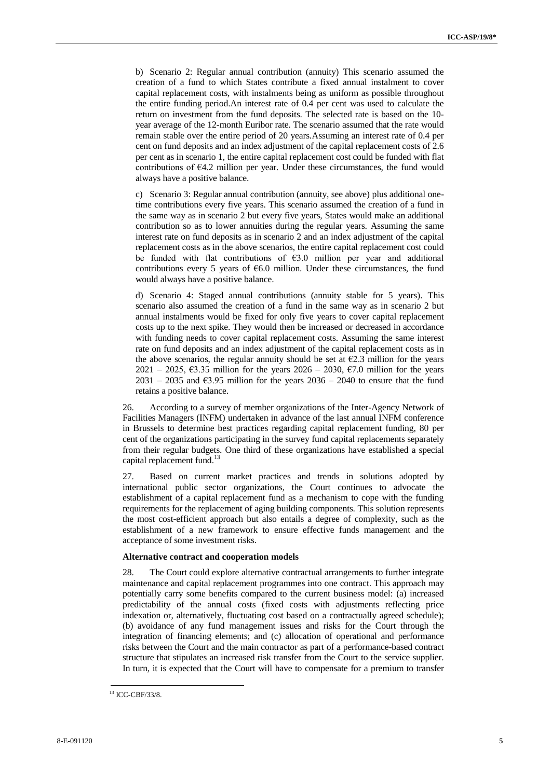b) Scenario 2: Regular annual contribution (annuity) This scenario assumed the creation of a fund to which States contribute a fixed annual instalment to cover capital replacement costs, with instalments being as uniform as possible throughout the entire funding period.An interest rate of 0.4 per cent was used to calculate the return on investment from the fund deposits. The selected rate is based on the 10 year average of the 12-month Euribor rate. The scenario assumed that the rate would remain stable over the entire period of 20 years.Assuming an interest rate of 0.4 per cent on fund deposits and an index adjustment of the capital replacement costs of 2.6 per cent as in scenario 1, the entire capital replacement cost could be funded with flat contributions of €4.2 million per year. Under these circumstances, the fund would always have a positive balance.

c) Scenario 3: Regular annual contribution (annuity, see above) plus additional onetime contributions every five years. This scenario assumed the creation of a fund in the same way as in scenario 2 but every five years, States would make an additional contribution so as to lower annuities during the regular years. Assuming the same interest rate on fund deposits as in scenario 2 and an index adjustment of the capital replacement costs as in the above scenarios, the entire capital replacement cost could be funded with flat contributions of  $\epsilon$ 3.0 million per year and additional contributions every 5 years of  $66.0$  million. Under these circumstances, the fund would always have a positive balance.

d) Scenario 4: Staged annual contributions (annuity stable for 5 years). This scenario also assumed the creation of a fund in the same way as in scenario 2 but annual instalments would be fixed for only five years to cover capital replacement costs up to the next spike. They would then be increased or decreased in accordance with funding needs to cover capital replacement costs. Assuming the same interest rate on fund deposits and an index adjustment of the capital replacement costs as in the above scenarios, the regular annuity should be set at  $\epsilon$ 2.3 million for the years 2021 – 2025,  $\epsilon$ 3.35 million for the years 2026 – 2030,  $\epsilon$ 7.0 million for the years 2031 – 2035 and  $63.95$  million for the years 2036 – 2040 to ensure that the fund retains a positive balance.

26. According to a survey of member organizations of the Inter-Agency Network of Facilities Managers (INFM) undertaken in advance of the last annual INFM conference in Brussels to determine best practices regarding capital replacement funding, 80 per cent of the organizations participating in the survey fund capital replacements separately from their regular budgets. One third of these organizations have established a special capital replacement fund.<sup>13</sup>

27. Based on current market practices and trends in solutions adopted by international public sector organizations, the Court continues to advocate the establishment of a capital replacement fund as a mechanism to cope with the funding requirements for the replacement of aging building components. This solution represents the most cost-efficient approach but also entails a degree of complexity, such as the establishment of a new framework to ensure effective funds management and the acceptance of some investment risks.

#### **Alternative contract and cooperation models**

28. The Court could explore alternative contractual arrangements to further integrate maintenance and capital replacement programmes into one contract. This approach may potentially carry some benefits compared to the current business model: (a) increased predictability of the annual costs (fixed costs with adjustments reflecting price indexation or, alternatively, fluctuating cost based on a contractually agreed schedule); (b) avoidance of any fund management issues and risks for the Court through the integration of financing elements; and (c) allocation of operational and performance risks between the Court and the main contractor as part of a performance-based contract structure that stipulates an increased risk transfer from the Court to the service supplier. In turn, it is expected that the Court will have to compensate for a premium to transfer

<sup>13</sup> ICC-CBF/33/8.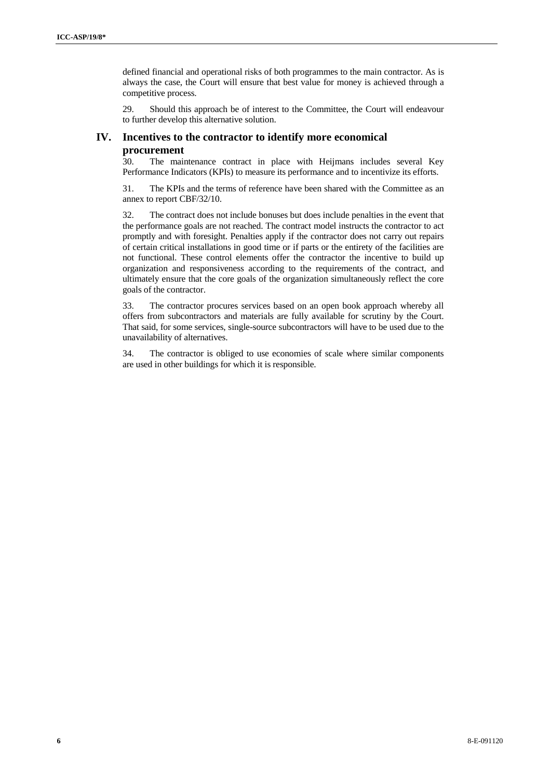defined financial and operational risks of both programmes to the main contractor. As is always the case, the Court will ensure that best value for money is achieved through a competitive process.

29. Should this approach be of interest to the Committee, the Court will endeavour to further develop this alternative solution.

## **IV. Incentives to the contractor to identify more economical procurement**

30. The maintenance contract in place with Heijmans includes several Key Performance Indicators (KPIs) to measure its performance and to incentivize its efforts.

31. The KPIs and the terms of reference have been shared with the Committee as an annex to report CBF/32/10.

32. The contract does not include bonuses but does include penalties in the event that the performance goals are not reached. The contract model instructs the contractor to act promptly and with foresight. Penalties apply if the contractor does not carry out repairs of certain critical installations in good time or if parts or the entirety of the facilities are not functional. These control elements offer the contractor the incentive to build up organization and responsiveness according to the requirements of the contract, and ultimately ensure that the core goals of the organization simultaneously reflect the core goals of the contractor.

33. The contractor procures services based on an open book approach whereby all offers from subcontractors and materials are fully available for scrutiny by the Court. That said, for some services, single-source subcontractors will have to be used due to the unavailability of alternatives.

34. The contractor is obliged to use economies of scale where similar components are used in other buildings for which it is responsible.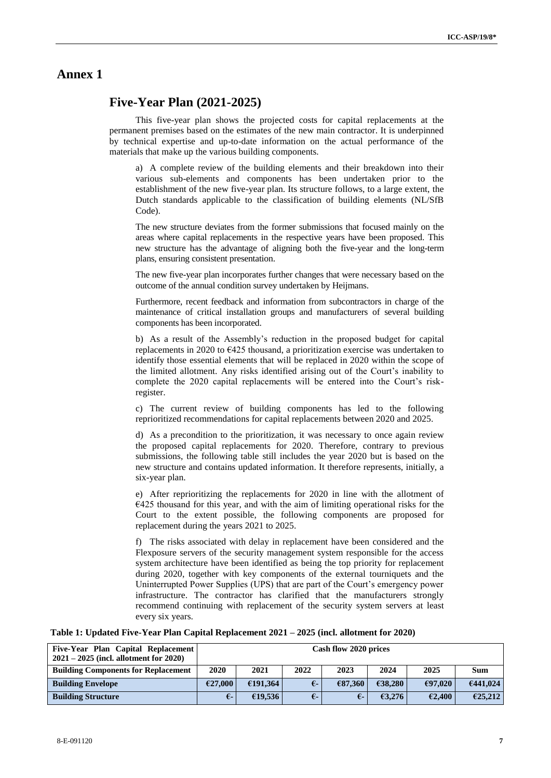## **Annex 1**

## **Five-Year Plan (2021-2025)**

This five-year plan shows the projected costs for capital replacements at the permanent premises based on the estimates of the new main contractor. It is underpinned by technical expertise and up-to-date information on the actual performance of the materials that make up the various building components.

a) A complete review of the building elements and their breakdown into their various sub-elements and components has been undertaken prior to the establishment of the new five-year plan. Its structure follows, to a large extent, the Dutch standards applicable to the classification of building elements (NL/SfB Code).

The new structure deviates from the former submissions that focused mainly on the areas where capital replacements in the respective years have been proposed. This new structure has the advantage of aligning both the five-year and the long-term plans, ensuring consistent presentation.

The new five-year plan incorporates further changes that were necessary based on the outcome of the annual condition survey undertaken by Heijmans.

Furthermore, recent feedback and information from subcontractors in charge of the maintenance of critical installation groups and manufacturers of several building components has been incorporated.

b) As a result of the Assembly's reduction in the proposed budget for capital replacements in 2020 to  $\epsilon$ 425 thousand, a prioritization exercise was undertaken to identify those essential elements that will be replaced in 2020 within the scope of the limited allotment. Any risks identified arising out of the Court's inability to complete the 2020 capital replacements will be entered into the Court's riskregister.

c) The current review of building components has led to the following reprioritized recommendations for capital replacements between 2020 and 2025.

d) As a precondition to the prioritization, it was necessary to once again review the proposed capital replacements for 2020. Therefore, contrary to previous submissions, the following table still includes the year 2020 but is based on the new structure and contains updated information. It therefore represents, initially, a six-year plan.

e) After reprioritizing the replacements for 2020 in line with the allotment of  $E$ 425 thousand for this year, and with the aim of limiting operational risks for the Court to the extent possible, the following components are proposed for replacement during the years 2021 to 2025.

f) The risks associated with delay in replacement have been considered and the Flexposure servers of the security management system responsible for the access system architecture have been identified as being the top priority for replacement during 2020, together with key components of the external tourniquets and the Uninterrupted Power Supplies (UPS) that are part of the Court's emergency power infrastructure. The contractor has clarified that the manufacturers strongly recommend continuing with replacement of the security system servers at least every six years.

| Table 1: Updated Five-Year Plan Capital Replacement 2021 – 2025 (incl. allotment for 2020) |  |  |
|--------------------------------------------------------------------------------------------|--|--|
|                                                                                            |  |  |

| Five-Year Plan Capital Replacement<br>$2021 - 2025$ (incl. allotment for 2020) |         | Cash flow 2020 prices                       |            |         |         |         |          |  |  |  |  |  |  |
|--------------------------------------------------------------------------------|---------|---------------------------------------------|------------|---------|---------|---------|----------|--|--|--|--|--|--|
| <b>Building Components for Replacement</b>                                     | 2020    | 2022<br>2024<br>2021<br>2023<br>2025<br>Sum |            |         |         |         |          |  |  |  |  |  |  |
| <b>Building Envelope</b>                                                       | €27,000 | £191,364                                    | $\epsilon$ | €87,360 | €38,280 | €97.020 | 6441.024 |  |  |  |  |  |  |
| <b>Building Structure</b>                                                      | €-      | €19.536                                     | $\epsilon$ | €-      | 63,276  | E2,400  | E25,212  |  |  |  |  |  |  |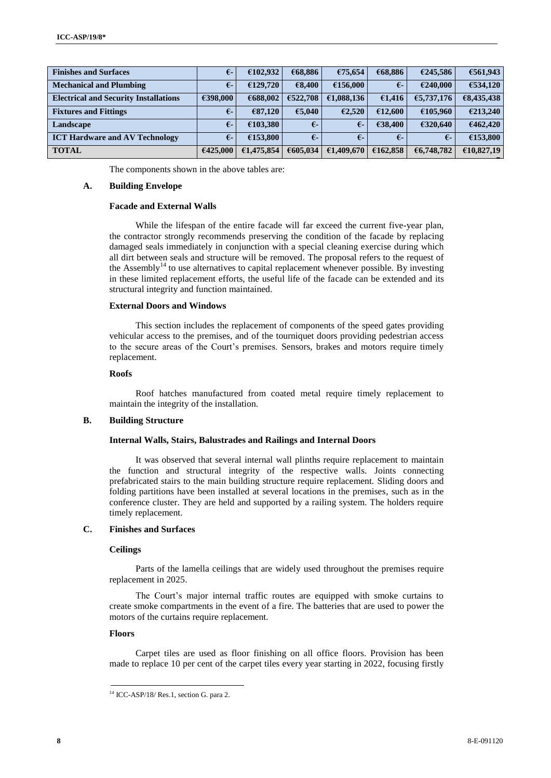| <b>Finishes and Surfaces</b>                 | $\epsilon$   | €102,932   | €68,886    | €75,654      | €68,886    | €245.586   | €561,943   |
|----------------------------------------------|--------------|------------|------------|--------------|------------|------------|------------|
| <b>Mechanical and Plumbing</b>               | $\epsilon$   | £129,720   | €8.400     | €156,000     | $\epsilon$ | €240,000   | €534,120   |
| <b>Electrical and Security Installations</b> | €398,000     | €688,002   | £522.708   | €1,088,136   | €1,416     | €5,737,176 | €8,435,438 |
| <b>Fixtures and Fittings</b>                 | $\epsilon$ - | €87,120    | €5.040     | 62,520       | €12,600    | €105.960   | €213,240   |
| Landscape                                    | €-           | €103,380   | $\epsilon$ | $\epsilon$ - | €38,400    | €320.640   | €462,420   |
| <b>ICT Hardware and AV Technology</b>        | $\epsilon$   | €153,800   | $\epsilon$ | $\epsilon$   | $\epsilon$ | $\epsilon$ | €153,800   |
| <b>TOTAL</b>                                 | €425,000     | €1,475,854 | €605,034   | €1,409,670   | €162,858   | €6,748,782 | €10,827,19 |

The components shown in the above tables are:

### **A. Building Envelope**

### **Facade and External Walls**

While the lifespan of the entire facade will far exceed the current five-year plan, the contractor strongly recommends preserving the condition of the facade by replacing damaged seals immediately in conjunction with a special cleaning exercise during which all dirt between seals and structure will be removed. The proposal refers to the request of the Assembly<sup>14</sup> to use alternatives to capital replacement whenever possible. By investing in these limited replacement efforts, the useful life of the facade can be extended and its structural integrity and function maintained.

#### **External Doors and Windows**

This section includes the replacement of components of the speed gates providing vehicular access to the premises, and of the tourniquet doors providing pedestrian access to the secure areas of the Court's premises. Sensors, brakes and motors require timely replacement.

#### **Roofs**

Roof hatches manufactured from coated metal require timely replacement to maintain the integrity of the installation.

## **B. Building Structure**

#### **Internal Walls, Stairs, Balustrades and Railings and Internal Doors**

It was observed that several internal wall plinths require replacement to maintain the function and structural integrity of the respective walls. Joints connecting prefabricated stairs to the main building structure require replacement. Sliding doors and folding partitions have been installed at several locations in the premises, such as in the conference cluster. They are held and supported by a railing system. The holders require timely replacement.

## **C. Finishes and Surfaces**

#### **Ceilings**

Parts of the lamella ceilings that are widely used throughout the premises require replacement in 2025.

The Court's major internal traffic routes are equipped with smoke curtains to create smoke compartments in the event of a fire. The batteries that are used to power the motors of the curtains require replacement.

### **Floors**

Carpet tiles are used as floor finishing on all office floors. Provision has been made to replace 10 per cent of the carpet tiles every year starting in 2022, focusing firstly

<sup>&</sup>lt;sup>14</sup> ICC-ASP/18/ Res.1, section G. para 2.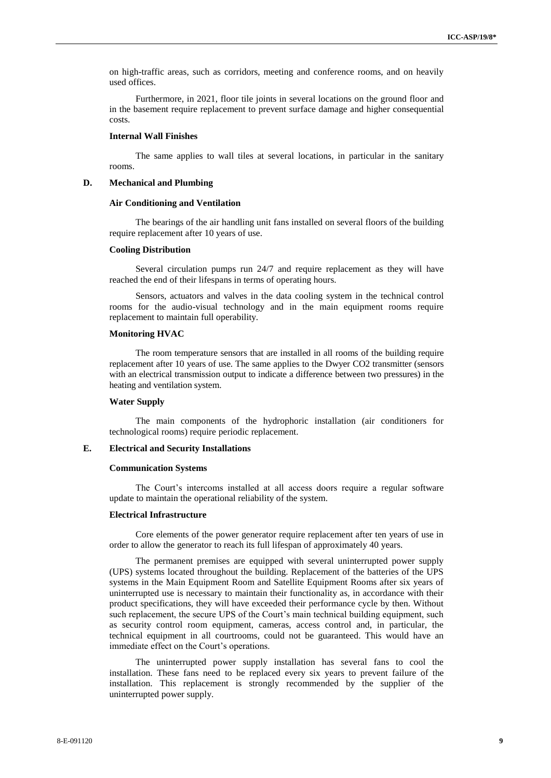on high-traffic areas, such as corridors, meeting and conference rooms, and on heavily used offices.

Furthermore, in 2021, floor tile joints in several locations on the ground floor and in the basement require replacement to prevent surface damage and higher consequential costs.

## **Internal Wall Finishes**

The same applies to wall tiles at several locations, in particular in the sanitary rooms.

#### **D. Mechanical and Plumbing**

#### **Air Conditioning and Ventilation**

The bearings of the air handling unit fans installed on several floors of the building require replacement after 10 years of use.

#### **Cooling Distribution**

Several circulation pumps run 24/7 and require replacement as they will have reached the end of their lifespans in terms of operating hours.

Sensors, actuators and valves in the data cooling system in the technical control rooms for the audio-visual technology and in the main equipment rooms require replacement to maintain full operability.

#### **Monitoring HVAC**

The room temperature sensors that are installed in all rooms of the building require replacement after 10 years of use. The same applies to the Dwyer CO2 transmitter (sensors with an electrical transmission output to indicate a difference between two pressures) in the heating and ventilation system.

#### **Water Supply**

The main components of the hydrophoric installation (air conditioners for technological rooms) require periodic replacement.

#### **E. Electrical and Security Installations**

#### **Communication Systems**

The Court's intercoms installed at all access doors require a regular software update to maintain the operational reliability of the system.

#### **Electrical Infrastructure**

Core elements of the power generator require replacement after ten years of use in order to allow the generator to reach its full lifespan of approximately 40 years.

The permanent premises are equipped with several uninterrupted power supply (UPS) systems located throughout the building. Replacement of the batteries of the UPS systems in the Main Equipment Room and Satellite Equipment Rooms after six years of uninterrupted use is necessary to maintain their functionality as, in accordance with their product specifications, they will have exceeded their performance cycle by then. Without such replacement, the secure UPS of the Court's main technical building equipment, such as security control room equipment, cameras, access control and, in particular, the technical equipment in all courtrooms, could not be guaranteed. This would have an immediate effect on the Court's operations.

The uninterrupted power supply installation has several fans to cool the installation. These fans need to be replaced every six years to prevent failure of the installation. This replacement is strongly recommended by the supplier of the uninterrupted power supply.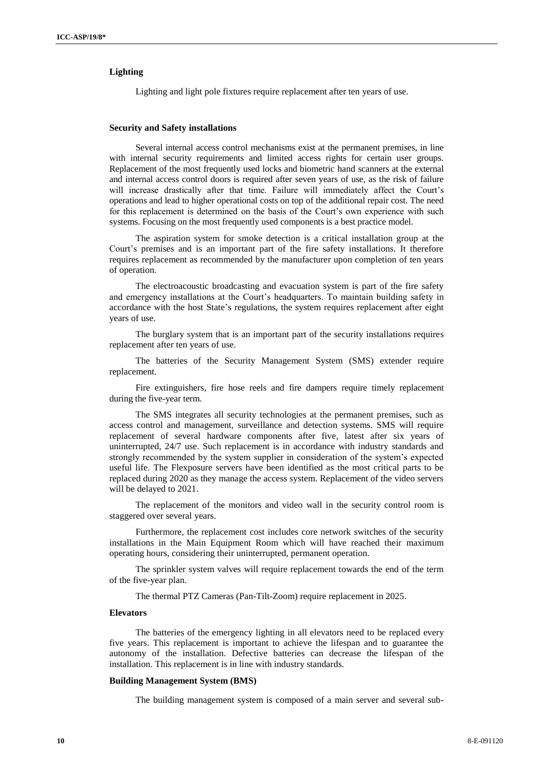### **Lighting**

Lighting and light pole fixtures require replacement after ten years of use.

#### **Security and Safety installations**

Several internal access control mechanisms exist at the permanent premises, in line with internal security requirements and limited access rights for certain user groups. Replacement of the most frequently used locks and biometric hand scanners at the external and internal access control doors is required after seven years of use, as the risk of failure will increase drastically after that time. Failure will immediately affect the Court's operations and lead to higher operational costs on top of the additional repair cost. The need for this replacement is determined on the basis of the Court's own experience with such systems. Focusing on the most frequently used components is a best practice model.

The aspiration system for smoke detection is a critical installation group at the Court's premises and is an important part of the fire safety installations. It therefore requires replacement as recommended by the manufacturer upon completion of ten years of operation.

The electroacoustic broadcasting and evacuation system is part of the fire safety and emergency installations at the Court's headquarters. To maintain building safety in accordance with the host State's regulations, the system requires replacement after eight years of use.

The burglary system that is an important part of the security installations requires replacement after ten years of use.

The batteries of the Security Management System (SMS) extender require replacement.

Fire extinguishers, fire hose reels and fire dampers require timely replacement during the five-year term.

The SMS integrates all security technologies at the permanent premises, such as access control and management, surveillance and detection systems. SMS will require replacement of several hardware components after five, latest after six years of uninterrupted, 24/7 use. Such replacement is in accordance with industry standards and strongly recommended by the system supplier in consideration of the system's expected useful life. The Flexposure servers have been identified as the most critical parts to be replaced during 2020 as they manage the access system. Replacement of the video servers will be delayed to 2021.

The replacement of the monitors and video wall in the security control room is staggered over several years.

Furthermore, the replacement cost includes core network switches of the security installations in the Main Equipment Room which will have reached their maximum operating hours, considering their uninterrupted, permanent operation.

The sprinkler system valves will require replacement towards the end of the term of the five-year plan.

The thermal PTZ Cameras (Pan-Tilt-Zoom) require replacement in 2025.

### **Elevators**

The batteries of the emergency lighting in all elevators need to be replaced every five years. This replacement is important to achieve the lifespan and to guarantee the autonomy of the installation. Defective batteries can decrease the lifespan of the installation. This replacement is in line with industry standards.

#### **Building Management System (BMS)**

The building management system is composed of a main server and several sub-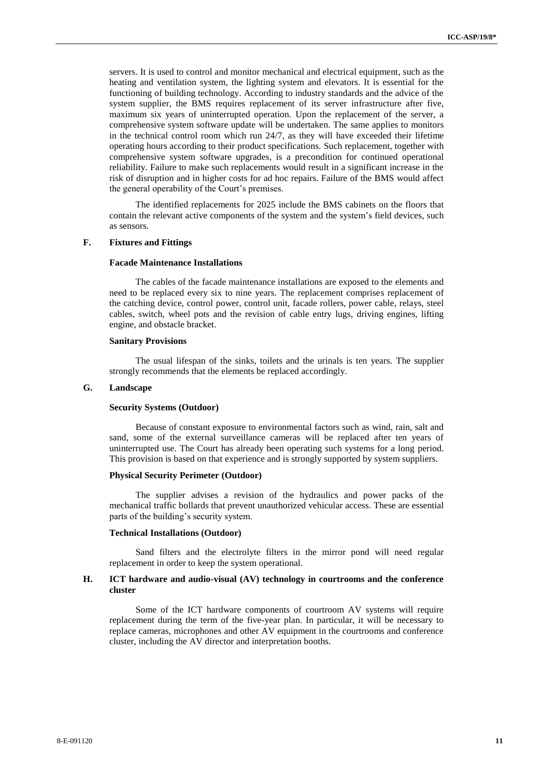servers. It is used to control and monitor mechanical and electrical equipment, such as the heating and ventilation system, the lighting system and elevators. It is essential for the functioning of building technology. According to industry standards and the advice of the system supplier, the BMS requires replacement of its server infrastructure after five, maximum six years of uninterrupted operation. Upon the replacement of the server, a comprehensive system software update will be undertaken. The same applies to monitors in the technical control room which run 24/7, as they will have exceeded their lifetime operating hours according to their product specifications. Such replacement, together with comprehensive system software upgrades, is a precondition for continued operational reliability. Failure to make such replacements would result in a significant increase in the risk of disruption and in higher costs for ad hoc repairs. Failure of the BMS would affect the general operability of the Court's premises.

The identified replacements for 2025 include the BMS cabinets on the floors that contain the relevant active components of the system and the system's field devices, such as sensors.

## **F. Fixtures and Fittings**

#### **Facade Maintenance Installations**

The cables of the facade maintenance installations are exposed to the elements and need to be replaced every six to nine years. The replacement comprises replacement of the catching device, control power, control unit, facade rollers, power cable, relays, steel cables, switch, wheel pots and the revision of cable entry lugs, driving engines, lifting engine, and obstacle bracket.

#### **Sanitary Provisions**

The usual lifespan of the sinks, toilets and the urinals is ten years. The supplier strongly recommends that the elements be replaced accordingly.

## **G. Landscape**

#### **Security Systems (Outdoor)**

Because of constant exposure to environmental factors such as wind, rain, salt and sand, some of the external surveillance cameras will be replaced after ten years of uninterrupted use. The Court has already been operating such systems for a long period. This provision is based on that experience and is strongly supported by system suppliers.

#### **Physical Security Perimeter (Outdoor)**

The supplier advises a revision of the hydraulics and power packs of the mechanical traffic bollards that prevent unauthorized vehicular access. These are essential parts of the building's security system.

#### **Technical Installations (Outdoor)**

Sand filters and the electrolyte filters in the mirror pond will need regular replacement in order to keep the system operational.

### **H. ICT hardware and audio-visual (AV) technology in courtrooms and the conference cluster**

Some of the ICT hardware components of courtroom AV systems will require replacement during the term of the five-year plan. In particular, it will be necessary to replace cameras, microphones and other AV equipment in the courtrooms and conference cluster, including the AV director and interpretation booths.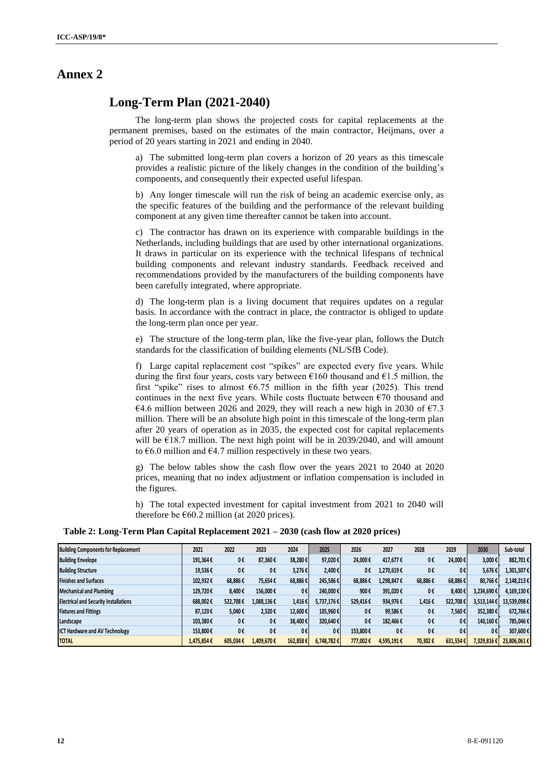## **Annex 2**

## **Long-Term Plan (2021-2040)**

The long-term plan shows the projected costs for capital replacements at the permanent premises, based on the estimates of the main contractor, Heijmans, over a period of 20 years starting in 2021 and ending in 2040.

a) The submitted long-term plan covers a horizon of 20 years as this timescale provides a realistic picture of the likely changes in the condition of the building's components, and consequently their expected useful lifespan.

b) Any longer timescale will run the risk of being an academic exercise only, as the specific features of the building and the performance of the relevant building component at any given time thereafter cannot be taken into account.

c) The contractor has drawn on its experience with comparable buildings in the Netherlands, including buildings that are used by other international organizations. It draws in particular on its experience with the technical lifespans of technical building components and relevant industry standards. Feedback received and recommendations provided by the manufacturers of the building components have been carefully integrated, where appropriate.

d) The long-term plan is a living document that requires updates on a regular basis. In accordance with the contract in place, the contractor is obliged to update the long-term plan once per year.

e) The structure of the long-term plan, like the five-year plan, follows the Dutch standards for the classification of building elements (NL/SfB Code).

f) Large capital replacement cost "spikes" are expected every five years. While during the first four years, costs vary between  $\epsilon$ 160 thousand and  $\epsilon$ 1.5 million, the first "spike" rises to almost  $6.75$  million in the fifth year (2025). This trend continues in the next five years. While costs fluctuate between  $\epsilon$ 70 thousand and €4.6 million between 2026 and 2029, they will reach a new high in 2030 of €7.3 million. There will be an absolute high point in this timescale of the long-term plan after 20 years of operation as in 2035, the expected cost for capital replacements will be  $\epsilon$ 18.7 million. The next high point will be in 2039/2040, and will amount to  $\epsilon$ 6.0 million and  $\epsilon$ 4.7 million respectively in these two years.

g) The below tables show the cash flow over the years 2021 to 2040 at 2020 prices, meaning that no index adjustment or inflation compensation is included in the figures.

h) The total expected investment for capital investment from 2021 to 2040 will therefore be  $E60.2$  million (at 2020 prices).

**Table 2: Long-Term Plan Capital Replacement 2021 – 2030 (cash flow at 2020 prices)**

| <b>Building Components for Replacement</b>   | 2021       | 2022          | 2023       | 2024     | 2025       | 2026     | 2027       | 2028    | 2029     | 2030       | Sub-total   |
|----------------------------------------------|------------|---------------|------------|----------|------------|----------|------------|---------|----------|------------|-------------|
| <b>Building Envelope</b>                     | 191,364€   | 0€            | 87,360€    | 38,280€  | 97,020€    | 24.000€  | 417,677€   | 0€      | 24,000€  | 3,000€     | 882,701€    |
| <b>Building Structure</b>                    | 19.536€    | 0€            | 0€         | 3.276€   | 2.400€     | 0€       | 1,270,619€ | 0€      | 0€       | 5.676€     | 1,301,507€  |
| <b>Finishes and Surfaces</b>                 | 102.932€   | 68.886€       | 75,654€    | 68.886€  | 245,586€   | 68.886€  | 1,298,847€ | 68.886€ | 68,886€  | 80.766€    | 2,148,213€  |
| <b>Mechanical and Plumbing</b>               | 129.720€   | 8,400€        | 156,000€   | 0€       | 240,000€   | 900€     | 391,020€   | 0€      | 8.400€   | 3,234,690€ | 4,169,130€  |
| <b>Electrical and Security Installations</b> | 688,002€   | 522,708€      | 1,088,136€ | 1,416€   | 5,737,176€ | 529,416€ | 934,976€   | 1,416€  | 522,708€ | 3,513,144€ | 13,539,098€ |
| <b>Fixtures and Fittings</b>                 | 87.120€    | 5.040€        | 2,520€     | 12,600€  | 105,960€   | 0€       | 99.586€    | 0€      | 7,560€   | 352.380€   | 672,766€    |
| Landscape                                    | 103,380€   | 0€            | 0€         | 38,400€  | 320,640€   | 0€       | 182,466€   | 0€      | 0€       | 140,160€   | 785,046€    |
| <b>ICT Hardware and AV Technology</b>        | 153,800€   | 0€            | 0€         | 0€       | 0€         | 153,800€ | 0€         | 0€      | 0€       | O€         | 307,600€    |
| <b>TOTAL</b>                                 | 1.475.854€ | $605.034 \in$ | 1.409.670€ | 162,858€ | 6.748.782€ | 777.002€ | 4,595,191€ | 70.302€ | 631,554€ | 7,329,816€ | 23,806,061€ |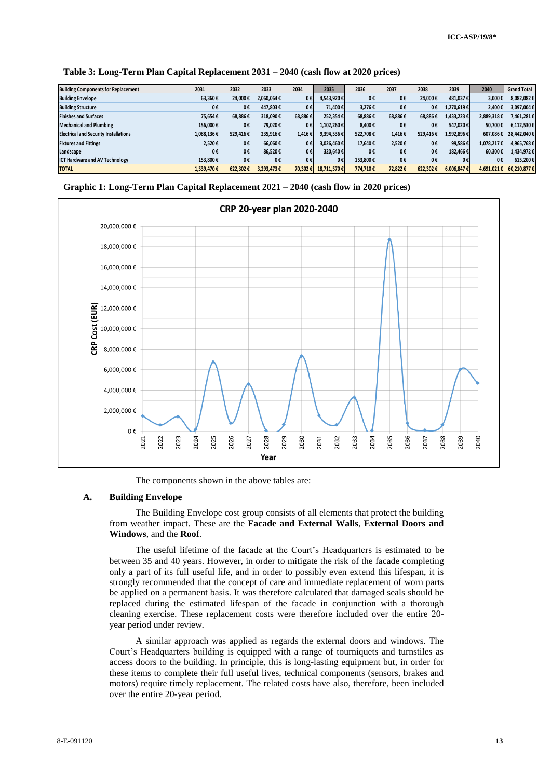| <b>Building Components for Replacement</b>   | 2031       | 2032     | 2033       | 2034    | 2035        | 2036     | 2037    | 2038     | 2039            | 2040       | <b>Grand Total</b> |
|----------------------------------------------|------------|----------|------------|---------|-------------|----------|---------|----------|-----------------|------------|--------------------|
| <b>Building Envelope</b>                     | 63.360€    | 24.000€  | 2,060,064€ | $0 \in$ | 4,543,920€  | 0€       | 0€      | 24.000€  | 481.037€        | 3,000€     | 8,082,082€         |
| <b>Building Structure</b>                    | 0€         | 0€       | 447.803€   | 0€      | 71.400€     | 3.276€   | 0€      | 0€       | 1,270,619€      | 2,400€     | 3,097,004€         |
| <b>Finishes and Surfaces</b>                 | 75.654€    | 68,886€  | 318,090€   | 68.886€ | 252.354€    | 68.886€  | 68,886€ | 68,886€  | 1,433,223€      | 2,889,318€ | 7,461,281€         |
| <b>Mechanical and Plumbing</b>               | 156.000€   | 0€       | 79,020€    | 0€      | 1,102,260€  | 8,400€   | 0€      | 0€       | 547,020€        | 50.700€    | 6,112,530€         |
| <b>Electrical and Security Installations</b> | 1,088,136€ | 529.416€ | 235,916€   | 1,416€  | 9,394,536€  | 522.708€ | 1,416€  | 529.416€ | 1,992,896€      | 607.086€   | 28,442,040€        |
| <b>Fixtures and Fittings</b>                 | 2.520€     | 0€       | 66.060€    | 0€      | 3,026,460€  | 17.640€  | 2.520€  | 0€       | 99,586€         | 1,078,217€ | 4,965,768€         |
| Landscape                                    | 0€         | 0€       | 86.520€    | 0€      | 320,640€    | 0€       | 0€      | 0€       | 182,466€        | 60,300€    | 1,434,972€         |
| <b>ICT Hardware and AV Technology</b>        | 153,800€   | 0€       | 0€         | $0 \in$ | 0€          | 153,800€ | 0€      | 0€       | 0€              | 0€         | 615,200€           |
| <b>TOTAL</b>                                 | 1,539,470€ | 622.302€ | 3,293,473€ | 70.302€ | 18,711,570€ | 774,710€ | 72.822€ | 622,302€ | $6,006,847 \in$ | 4,691,021€ | 60,210,877€        |

**Table 3: Long-Term Plan Capital Replacement 2031 – 2040 (cash flow at 2020 prices)**





The components shown in the above tables are:

#### **A. Building Envelope**

The Building Envelope cost group consists of all elements that protect the building from weather impact. These are the **Facade and External Walls**, **External Doors and Windows**, and the **Roof**.

The useful lifetime of the facade at the Court's Headquarters is estimated to be between 35 and 40 years. However, in order to mitigate the risk of the facade completing only a part of its full useful life, and in order to possibly even extend this lifespan, it is strongly recommended that the concept of care and immediate replacement of worn parts be applied on a permanent basis. It was therefore calculated that damaged seals should be replaced during the estimated lifespan of the facade in conjunction with a thorough cleaning exercise. These replacement costs were therefore included over the entire 20 year period under review.

A similar approach was applied as regards the external doors and windows. The Court's Headquarters building is equipped with a range of tourniquets and turnstiles as access doors to the building. In principle, this is long-lasting equipment but, in order for these items to complete their full useful lives, technical components (sensors, brakes and motors) require timely replacement. The related costs have also, therefore, been included over the entire 20-year period.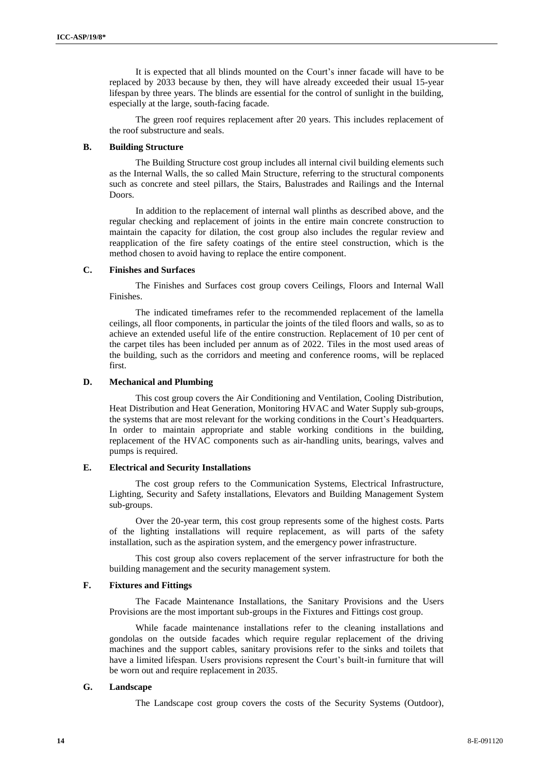It is expected that all blinds mounted on the Court's inner facade will have to be replaced by 2033 because by then, they will have already exceeded their usual 15-year lifespan by three years. The blinds are essential for the control of sunlight in the building, especially at the large, south-facing facade.

The green roof requires replacement after 20 years. This includes replacement of the roof substructure and seals.

## **B. Building Structure**

The Building Structure cost group includes all internal civil building elements such as the Internal Walls, the so called Main Structure, referring to the structural components such as concrete and steel pillars, the Stairs, Balustrades and Railings and the Internal Doors.

In addition to the replacement of internal wall plinths as described above, and the regular checking and replacement of joints in the entire main concrete construction to maintain the capacity for dilation, the cost group also includes the regular review and reapplication of the fire safety coatings of the entire steel construction, which is the method chosen to avoid having to replace the entire component.

## **C. Finishes and Surfaces**

The Finishes and Surfaces cost group covers Ceilings, Floors and Internal Wall Finishes.

The indicated timeframes refer to the recommended replacement of the lamella ceilings, all floor components, in particular the joints of the tiled floors and walls, so as to achieve an extended useful life of the entire construction. Replacement of 10 per cent of the carpet tiles has been included per annum as of 2022. Tiles in the most used areas of the building, such as the corridors and meeting and conference rooms, will be replaced first.

## **D. Mechanical and Plumbing**

This cost group covers the Air Conditioning and Ventilation, Cooling Distribution, Heat Distribution and Heat Generation, Monitoring HVAC and Water Supply sub-groups, the systems that are most relevant for the working conditions in the Court's Headquarters. In order to maintain appropriate and stable working conditions in the building, replacement of the HVAC components such as air-handling units, bearings, valves and pumps is required.

#### **E. Electrical and Security Installations**

The cost group refers to the Communication Systems, Electrical Infrastructure, Lighting, Security and Safety installations, Elevators and Building Management System sub-groups.

Over the 20-year term, this cost group represents some of the highest costs. Parts of the lighting installations will require replacement, as will parts of the safety installation, such as the aspiration system, and the emergency power infrastructure.

This cost group also covers replacement of the server infrastructure for both the building management and the security management system.

## **F. Fixtures and Fittings**

The Facade Maintenance Installations, the Sanitary Provisions and the Users Provisions are the most important sub-groups in the Fixtures and Fittings cost group.

While facade maintenance installations refer to the cleaning installations and gondolas on the outside facades which require regular replacement of the driving machines and the support cables, sanitary provisions refer to the sinks and toilets that have a limited lifespan. Users provisions represent the Court's built-in furniture that will be worn out and require replacement in 2035.

#### **G. Landscape**

The Landscape cost group covers the costs of the Security Systems (Outdoor),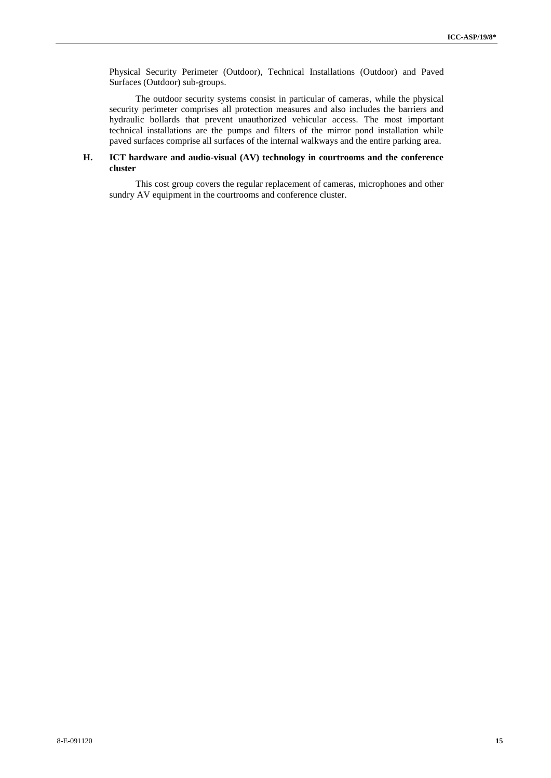Physical Security Perimeter (Outdoor), Technical Installations (Outdoor) and Paved Surfaces (Outdoor) sub-groups.

The outdoor security systems consist in particular of cameras, while the physical security perimeter comprises all protection measures and also includes the barriers and hydraulic bollards that prevent unauthorized vehicular access. The most important technical installations are the pumps and filters of the mirror pond installation while paved surfaces comprise all surfaces of the internal walkways and the entire parking area.

### **H. ICT hardware and audio-visual (AV) technology in courtrooms and the conference cluster**

This cost group covers the regular replacement of cameras, microphones and other sundry AV equipment in the courtrooms and conference cluster.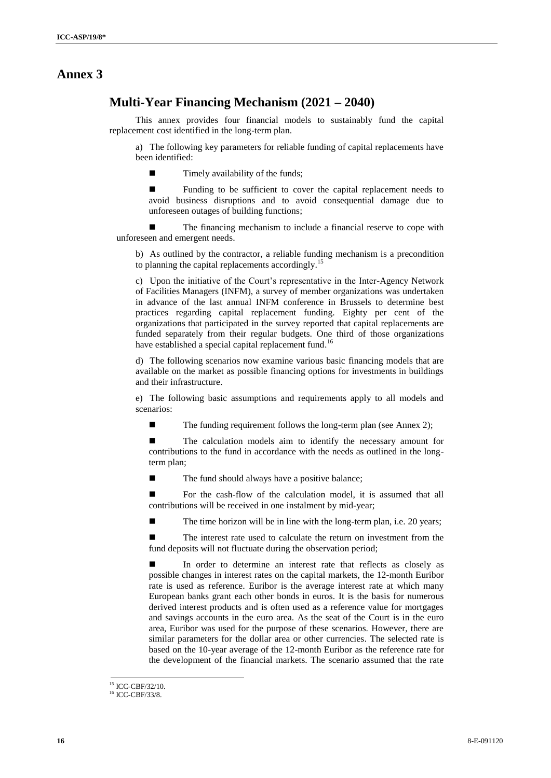## **Annex 3**

## **Multi-Year Financing Mechanism (2021 – 2040)**

This annex provides four financial models to sustainably fund the capital replacement cost identified in the long-term plan.

a) The following key parameters for reliable funding of capital replacements have been identified:

 $\blacksquare$  Timely availability of the funds;

**Exercise Funding to be sufficient to cover the capital replacement needs to** avoid business disruptions and to avoid consequential damage due to unforeseen outages of building functions;

■ The financing mechanism to include a financial reserve to cope with unforeseen and emergent needs.

b) As outlined by the contractor, a reliable funding mechanism is a precondition to planning the capital replacements accordingly.<sup>15</sup>

c) Upon the initiative of the Court's representative in the Inter-Agency Network of Facilities Managers (INFM), a survey of member organizations was undertaken in advance of the last annual INFM conference in Brussels to determine best practices regarding capital replacement funding. Eighty per cent of the organizations that participated in the survey reported that capital replacements are funded separately from their regular budgets. One third of those organizations have established a special capital replacement fund.<sup>16</sup>

d) The following scenarios now examine various basic financing models that are available on the market as possible financing options for investments in buildings and their infrastructure.

e) The following basic assumptions and requirements apply to all models and scenarios:

 $\blacksquare$  The funding requirement follows the long-term plan (see Annex 2);

■ The calculation models aim to identify the necessary amount for contributions to the fund in accordance with the needs as outlined in the longterm plan;

The fund should always have a positive balance;

 For the cash-flow of the calculation model, it is assumed that all contributions will be received in one instalment by mid-year;

 $\blacksquare$  The time horizon will be in line with the long-term plan, i.e. 20 years;

■ The interest rate used to calculate the return on investment from the fund deposits will not fluctuate during the observation period;

In order to determine an interest rate that reflects as closely as possible changes in interest rates on the capital markets, the 12-month Euribor rate is used as reference. Euribor is the average interest rate at which many European banks grant each other bonds in euros. It is the basis for numerous derived interest products and is often used as a reference value for mortgages and savings accounts in the euro area. As the seat of the Court is in the euro area, Euribor was used for the purpose of these scenarios. However, there are similar parameters for the dollar area or other currencies. The selected rate is based on the 10-year average of the 12-month Euribor as the reference rate for the development of the financial markets. The scenario assumed that the rate

 $15$  ICC-CBE/32/10.

<sup>&</sup>lt;sup>16</sup> ICC-CBF/33/8.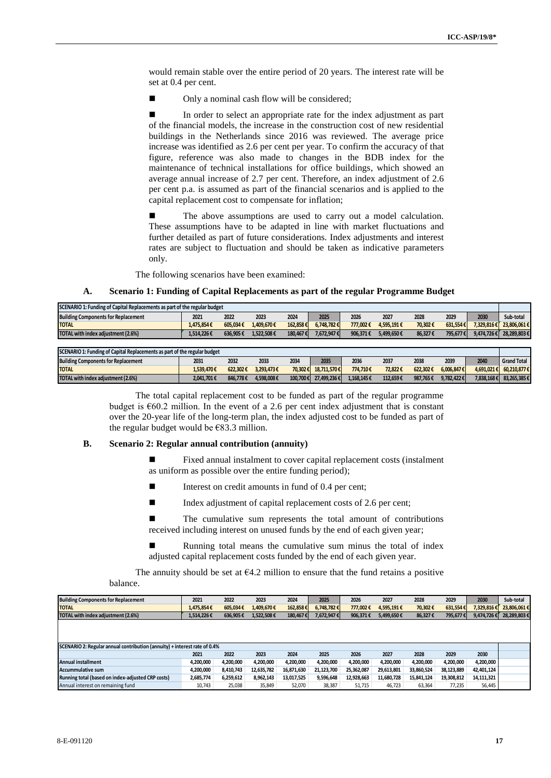would remain stable over the entire period of 20 years. The interest rate will be set at 0.4 per cent.

■ Only a nominal cash flow will be considered;

In order to select an appropriate rate for the index adjustment as part of the financial models, the increase in the construction cost of new residential buildings in the Netherlands since 2016 was reviewed. The average price increase was identified as 2.6 per cent per year. To confirm the accuracy of that figure, reference was also made to changes in the BDB index for the maintenance of technical installations for office buildings, which showed an average annual increase of 2.7 per cent. Therefore, an index adjustment of 2.6 per cent p.a. is assumed as part of the financial scenarios and is applied to the capital replacement cost to compensate for inflation;

 The above assumptions are used to carry out a model calculation. These assumptions have to be adapted in line with market fluctuations and further detailed as part of future considerations. Index adjustments and interest rates are subject to fluctuation and should be taken as indicative parameters only.

The following scenarios have been examined:

#### **A. Scenario 1: Funding of Capital Replacements as part of the regular Programme Budget**

| SCENARIO 1: Funding of Capital Replacements as part of the regular budget |            |          |            |          |             |          |            |          |            |            |                    |  |  |
|---------------------------------------------------------------------------|------------|----------|------------|----------|-------------|----------|------------|----------|------------|------------|--------------------|--|--|
| <b>Building Components for Replacement</b>                                | 2021       | 2022     | 2023       | 2024     | 2025        | 2026     | 2027       | 2028     | 2029       | 2030       | Sub-total          |  |  |
| <b>TOTAL</b>                                                              | 1.475.854€ | 605,034€ | 1.409.670€ | 162,858€ | 6.748.782€  | 777.002€ | 4.595.191€ | 70,302€  | 631.554€   | 7.329.816€ | 23.806.061€        |  |  |
| TOTAL with index adjustment (2.6%)                                        | 1.514.226€ | 636.905€ | 1.522.508€ | 180.467€ | 7.672.947€  | 906.371€ | 5.499.650€ | 86.327€  | 795.677€   | 9.474.726€ | 28.289.803€        |  |  |
|                                                                           |            |          |            |          |             |          |            |          |            |            |                    |  |  |
| SCENARIO 1: Funding of Capital Replacements as part of the regular budget |            |          |            |          |             |          |            |          |            |            |                    |  |  |
| <b>Building Components for Replacement</b>                                | 2031       | 2032     | 2033       | 2034     | 2035        | 2036     | 2037       | 2038     | 2039       | 2040       | <b>Grand Total</b> |  |  |
| <b>TOTAL</b>                                                              | 1.539.470€ | 622,302€ | 3.293.473€ | 70,302€  | 18.711.570€ | 774.710€ | 72.822€    | 622.302€ | 6,006,847€ | 4,691,021€ | 60,210,877€        |  |  |
|                                                                           |            |          |            |          |             |          |            |          |            |            |                    |  |  |

The total capital replacement cost to be funded as part of the regular programme budget is  $660.2$  million. In the event of a 2.6 per cent index adjustment that is constant over the 20-year life of the long-term plan, the index adjusted cost to be funded as part of the regular budget would be €83.3 million.

#### **B. Scenario 2: Regular annual contribution (annuity)**

- Fixed annual instalment to cover capital replacement costs (instalment as uniform as possible over the entire funding period);
- Interest on credit amounts in fund of 0.4 per cent;
- $\blacksquare$  Index adjustment of capital replacement costs of 2.6 per cent;
- The cumulative sum represents the total amount of contributions received including interest on unused funds by the end of each given year;
- Running total means the cumulative sum minus the total of index adjusted capital replacement costs funded by the end of each given year.

The annuity should be set at  $64.2$  million to ensure that the fund retains a positive balance.

| <b>Building Components for Replacement</b>                                | 2021       | 2022      | 2023       | 2024       | 2025       | 2026       | 2027       | 2028       | 2029       | 2030       | Sub-total   |
|---------------------------------------------------------------------------|------------|-----------|------------|------------|------------|------------|------------|------------|------------|------------|-------------|
| <b>TOTAL</b>                                                              | 1.475.854€ | 605.034€  | 1.409.670€ | 162,858€   | 6.748.782€ | 777,002€   | 4,595,191€ | 70,302€    | 631,554€   | 7,329,816€ | 23,806,061€ |
| TOTAL with index adjustment (2.6%)                                        | 1,514,226€ | 636,905€  | 1.522.508€ | 180,467€   | 7,672,947€ | 906,371€   | 5,499,650€ | 86,327€    | 795,677€   | 9,474,726€ | 28,289,803€ |
|                                                                           |            |           |            |            |            |            |            |            |            |            |             |
|                                                                           |            |           |            |            |            |            |            |            |            |            |             |
|                                                                           |            |           |            |            |            |            |            |            |            |            |             |
| SCENARIO 2: Regular annual contribution (annuity) + interest rate of 0.4% |            |           |            |            |            |            |            |            |            |            |             |
|                                                                           | 2021       | 2022      | 2023       | 2024       | 2025       | 2026       | 2027       | 2028       | 2029       | 2030       |             |
| <b>Annual installment</b>                                                 | 4,200,000  | 4,200,000 | 4,200,000  | 4,200,000  | 4,200,000  | 4,200,000  | 4,200,000  | 4,200,000  | 4,200,000  | 4,200,000  |             |
| <b>Accummulative sum</b>                                                  | 4,200,000  | 8,410,743 | 12,635,782 | 16,871,630 | 21,123,700 | 25,362,087 | 29,613,801 | 33,860,524 | 38,123,889 | 42,401,124 |             |
| Running total (based on index-adjusted CRP costs)                         | 2,685,774  | 6,259,612 | 8,962,143  | 13,017,525 | 9,596,648  | 12,928,663 | 11,680,728 | 15,841,124 | 19,308,812 | 14,111,321 |             |
| Annual interest on remaining fund                                         | 10,743     | 25,038    | 35,849     | 52.070     | 38,387     | 51.715     | 46.723     | 63,364     | 77.235     | 56,445     |             |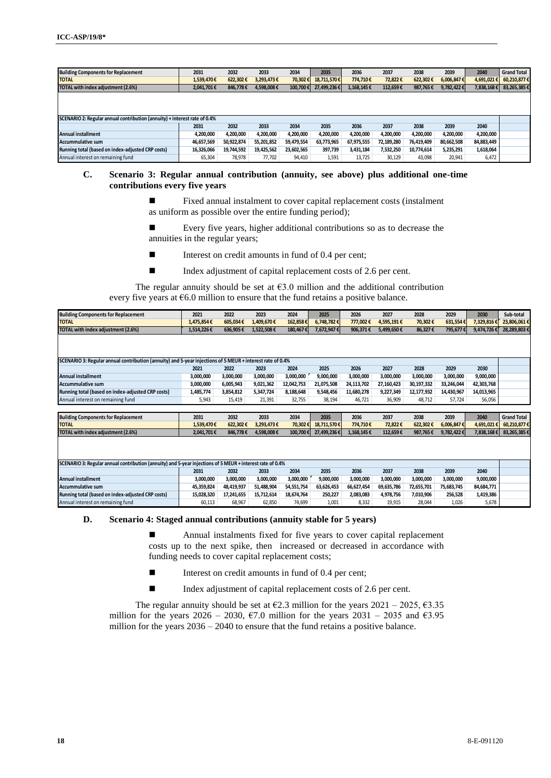| <b>Building Components for Replacement</b>                                | 2031       | 2032       | 2033       | 2034       | 2035        | 2036       | 2037       | 2038       | 2039       | 2040       | <b>Grand Total</b> |
|---------------------------------------------------------------------------|------------|------------|------------|------------|-------------|------------|------------|------------|------------|------------|--------------------|
| <b>TOTAL</b>                                                              | 1.539.470€ | 622.302€   | 3,293,473€ | 70,302€    | 18.711.570€ | 774.710€   | 72,822€    | 622.302€   | 6,006,847€ | 4,691,021  | 60.210.877€        |
| TOTAL with index adjustment (2.6%)                                        | 2,041,701€ | 846.778€   | 4,598,008€ | 100.700€   | 27,499,236€ | 1,168,145€ | 112,659€   | 987.765€   | 9,782,422€ | 7,838,168€ | 83,265,385€        |
|                                                                           |            |            |            |            |             |            |            |            |            |            |                    |
|                                                                           |            |            |            |            |             |            |            |            |            |            |                    |
|                                                                           |            |            |            |            |             |            |            |            |            |            |                    |
| SCENARIO 2: Regular annual contribution (annuity) + interest rate of 0.4% |            |            |            |            |             |            |            |            |            |            |                    |
|                                                                           | 2031       | 2032       | 2033       | 2034       | 2035        | 2036       | 2037       | 2038       | 2039       | 2040       |                    |
| <b>Annual installment</b>                                                 | 4.200.000  | 4,200,000  | 4,200,000  | 4,200,000  | 4,200,000   | 4,200,000  | 4,200,000  | 4,200,000  | 4,200,000  | 4,200,000  |                    |
| <b>Accummulative sum</b>                                                  | 46,657,569 | 50,922,874 | 55,201,852 | 59,479,554 | 63,773,965  | 67,975,555 | 72,189,280 | 76,419,409 | 80,662,508 | 84,883,449 |                    |
| Running total (based on index-adjusted CRP costs)                         | 16,326,066 | 19,744,592 | 19,425,562 | 23,602,565 | 397,739     | 3,431,184  | 7,532,250  | 10,774,614 | 5,235,291  | 1,618,064  |                    |
| Annual interest on remaining fund                                         | 65,304     | 78,978     | 77,702     | 94,410     | 1,591       | 13,725     | 30,129     | 43,098     | 20,941     | 6,472      |                    |

## **C. Scenario 3: Regular annual contribution (annuity, see above) plus additional one-time contributions every five years**

- Fixed annual instalment to cover capital replacement costs (instalment as uniform as possible over the entire funding period);
- Every five years, higher additional contributions so as to decrease the annuities in the regular years;
- Interest on credit amounts in fund of 0.4 per cent;
- Index adjustment of capital replacement costs of 2.6 per cent.

The regular annuity should be set at  $63.0$  million and the additional contribution every five years at  $\epsilon$ 6.0 million to ensure that the fund retains a positive balance.

| <b>Building Components for Replacement</b>                                                                | 2021       | 2022       | 2023       | 2024       | 2025        | 2026       | 2027       | 2028       | 2029       | 2030        | Sub-total          |
|-----------------------------------------------------------------------------------------------------------|------------|------------|------------|------------|-------------|------------|------------|------------|------------|-------------|--------------------|
| <b>TOTAL</b>                                                                                              | 1,475,854€ | 605,034€   | 1,409,670€ | 162,858€   | 6,748,782€  | 777.002€   | 4,595,191€ | 70,302€    | 631,554€   | 7,329,816€  | 23,806,061€        |
| TOTAL with index adjustment (2.6%)                                                                        | 1.514.226€ | 636.905€   | 1,522,508€ | 180.467€   | 7,672,947€  | 906,371€   | 5,499,650€ | 86.327€    | 795,677€   | 9,474,726€  | 28,289,803€        |
|                                                                                                           |            |            |            |            |             |            |            |            |            |             |                    |
|                                                                                                           |            |            |            |            |             |            |            |            |            |             |                    |
|                                                                                                           |            |            |            |            |             |            |            |            |            |             |                    |
| SCENARIO 3: Regular annual contribution (annuity) and 5-year injections of 5 MEUR + interest rate of 0.4% |            |            |            |            |             |            |            |            |            |             |                    |
|                                                                                                           | 2021       | 2022       | 2023       | 2024       | 2025        | 2026       | 2027       | 2028       | 2029       | 2030        |                    |
| <b>Annual installment</b>                                                                                 | 3,000,000  | 3,000,000  | 3,000,000  | 3,000,000  | 9,000,000   | 3,000,000  | 3,000,000  | 3,000,000  | 3,000,000  | 9,000,000   |                    |
| <b>Accummulative sum</b>                                                                                  | 3,000,000  | 6,005,943  | 9,021,362  | 12,042,753 | 21,075,508  | 24,113,702 | 27,160,423 | 30,197,332 | 33.246.044 | 42,303,768  |                    |
| Running total (based on index-adjusted CRP costs)                                                         | 1,485,774  | 3,854,812  | 5,347,724  | 8,188,648  | 9,548,456   | 11,680,278 | 9,227,349  | 12,177,932 | 14,430,967 | 14,013,965  |                    |
| Annual interest on remaining fund                                                                         | 5,943      | 15,419     | 21,391     | 32,755     | 38,194      | 46,721     | 36,909     | 48,712     | 57,724     | 56,056      |                    |
|                                                                                                           |            |            |            |            |             |            |            |            |            |             |                    |
| <b>Building Components for Replacement</b>                                                                | 2031       | 2032       | 2033       | 2034       | 2035        | 2036       | 2037       | 2038       | 2039       | 2040        | <b>Grand Total</b> |
| <b>TOTAL</b>                                                                                              | 1,539,470€ | 622,302€   | 3,293,473€ | 70,302     | 18,711,570€ | 774,710€   | 72,822€    | 622,302€   | 6,006,847€ | 4,691,021 € | 60,210,877€        |
| TOTAL with index adjustment (2.6%)                                                                        | 2,041,701€ | 846.778€   | 4,598,008€ | 100.700€   | 27,499,236€ | 1,168,145€ | 112,659€   | 987.765€   | 9,782,422€ | 7,838,168€  | 83,265,385€        |
|                                                                                                           |            |            |            |            |             |            |            |            |            |             |                    |
|                                                                                                           |            |            |            |            |             |            |            |            |            |             |                    |
|                                                                                                           |            |            |            |            |             |            |            |            |            |             |                    |
| SCENARIO 3: Regular annual contribution (annuity) and 5-year injections of 5 MEUR + interest rate of 0.4% |            |            |            |            |             |            |            |            |            |             |                    |
|                                                                                                           | 2031       | 2032       | 2033       | 2034       | 2035        | 2036       | 2037       | 2038       | 2039       | 2040        |                    |
| <b>Annual installment</b>                                                                                 | 3,000,000  | 3,000,000  | 3,000,000  | 3,000,000  | 9,000,000   | 3,000,000  | 3,000,000  | 3,000,000  | 3,000,000  | 9,000,000   |                    |
| <b>Accummulative sum</b>                                                                                  | 45,359,824 | 48,419,937 | 51,488,904 | 54,551,754 | 63,626,453  | 66,627,454 | 69,635,786 | 72,655,701 | 75.683.745 | 84,684,771  |                    |
| Running total (based on index-adjusted CRP costs)                                                         | 15,028,320 | 17,241,655 | 15,712,614 | 18,674,764 | 250,227     | 2,083,083  | 4,978,756  | 7,010,906  | 256,528    | 1,419,386   |                    |
| Annual interest on remaining fund                                                                         | 60,113     | 68,967     | 62,850     | 74,699     | 1,001       | 8,332      | 19,915     | 28.044     | 1.026      | 5,678       |                    |

## **D. Scenario 4: Staged annual contributions (annuity stable for 5 years)**

 Annual instalments fixed for five years to cover capital replacement costs up to the next spike, then increased or decreased in accordance with funding needs to cover capital replacement costs;

- Interest on credit amounts in fund of 0.4 per cent;
- Index adjustment of capital replacement costs of 2.6 per cent.

The regular annuity should be set at  $\epsilon$ 2.3 million for the years 2021 – 2025,  $\epsilon$ 3.35 million for the years 2026 – 2030,  $\epsilon$ 7.0 million for the years 2031 – 2035 and  $\epsilon$ 3.95 million for the years 2036 – 2040 to ensure that the fund retains a positive balance.